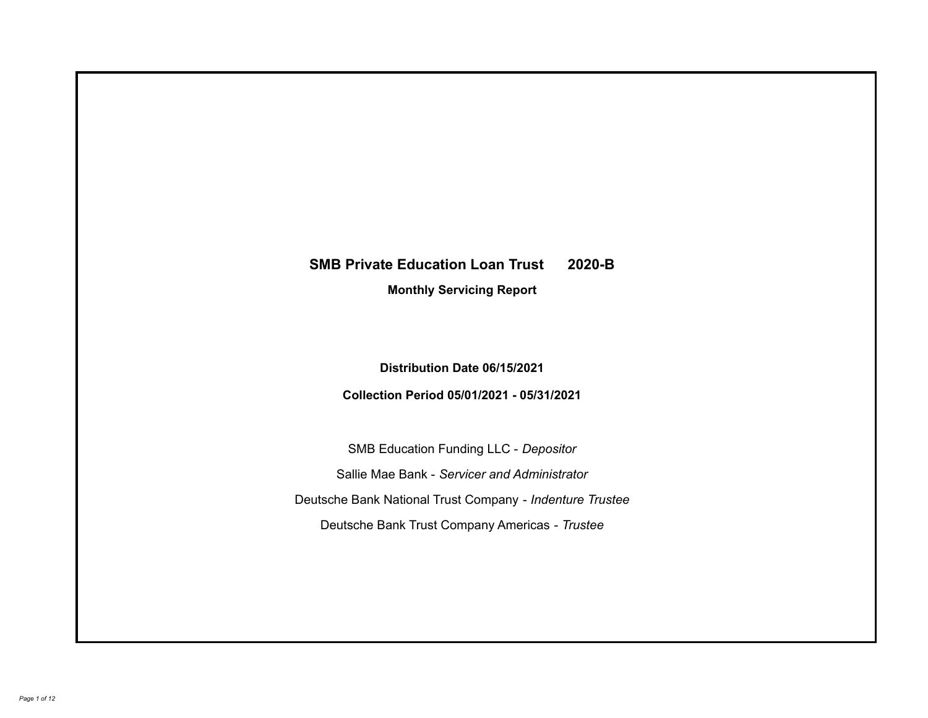# **SMB Private Education Loan Trust 2020-B**

**Monthly Servicing Report**

**Distribution Date 06/15/2021**

**Collection Period 05/01/2021 - 05/31/2021**

SMB Education Funding LLC - *Depositor* Sallie Mae Bank - *Servicer and Administrator* Deutsche Bank National Trust Company - *Indenture Trustee* Deutsche Bank Trust Company Americas - *Trustee*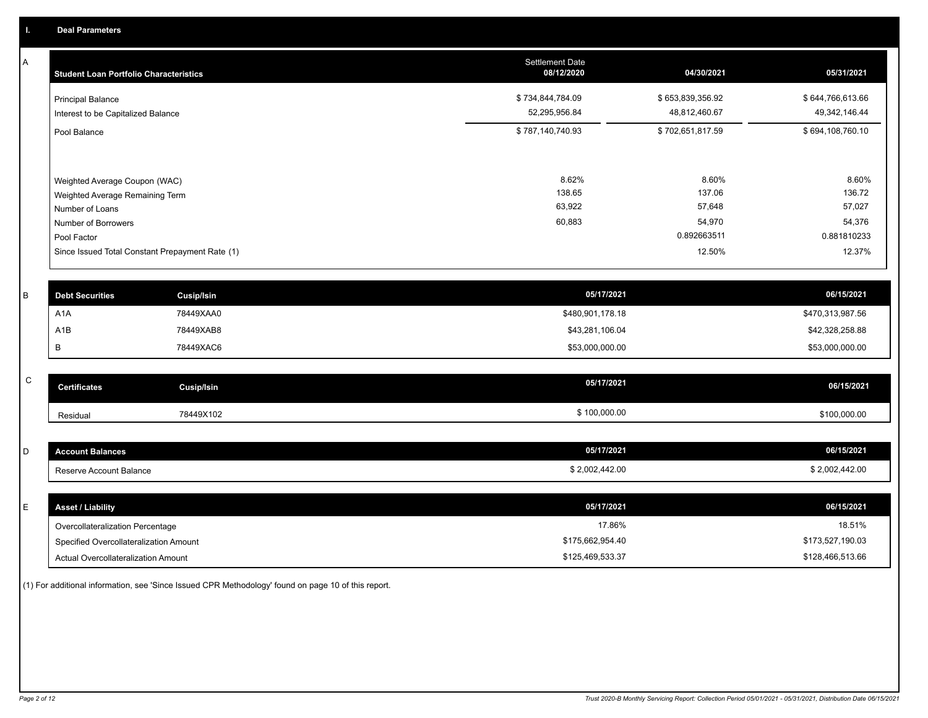A

| <b>Student Loan Portfolio Characteristics</b>                                                                                                                                | <b>Settlement Date</b><br>08/12/2020 | 04/30/2021                                                   | 05/31/2021                                                   |
|------------------------------------------------------------------------------------------------------------------------------------------------------------------------------|--------------------------------------|--------------------------------------------------------------|--------------------------------------------------------------|
| <b>Principal Balance</b><br>Interest to be Capitalized Balance                                                                                                               | \$734,844,784.09<br>52,295,956.84    | \$653,839,356.92<br>48,812,460.67                            | \$644,766,613.66<br>49,342,146.44                            |
| Pool Balance                                                                                                                                                                 | \$787,140,740.93                     | \$702,651,817.59                                             | \$694,108,760.10                                             |
| Weighted Average Coupon (WAC)<br>Weighted Average Remaining Term<br>Number of Loans<br>Number of Borrowers<br>Pool Factor<br>Since Issued Total Constant Prepayment Rate (1) | 8.62%<br>138.65<br>63,922<br>60,883  | 8.60%<br>137.06<br>57,648<br>54,970<br>0.892663511<br>12.50% | 8.60%<br>136.72<br>57,027<br>54,376<br>0.881810233<br>12.37% |
|                                                                                                                                                                              |                                      |                                                              |                                                              |

| <b>Debt Securities</b> | <b>Cusip/Isin</b> | 05/17/2021       | 06/15/2021       |
|------------------------|-------------------|------------------|------------------|
| A <sub>1</sub> A       | 78449XAA0         | \$480,901,178.18 | \$470,313,987.56 |
| A1B                    | 78449XAB8         | \$43,281,106.04  | \$42,328,258.88  |
|                        | 78449XAC6         | \$53,000,000.00  | \$53,000,000.00  |

| $\overline{\phantom{0}}$ | <b>Certificates</b> | Cusip/Isin | 05/17/2021   | 06/15/2021   |
|--------------------------|---------------------|------------|--------------|--------------|
|                          | Residual            | 78449X102  | \$100,000.00 | \$100,000.00 |

| <b>Account Balances</b> | 05/17/2021     | 06/15/2021     |
|-------------------------|----------------|----------------|
| Reserve Account Balance | \$2,002,442.00 | \$2,002,442.00 |

| E. | <b>Asset / Liability</b>               | 05/17/2021       | 06/15/2021       |
|----|----------------------------------------|------------------|------------------|
|    | Overcollateralization Percentage       | 17.86%           | 18.51%           |
|    | Specified Overcollateralization Amount | \$175,662,954.40 | \$173,527,190.03 |
|    | Actual Overcollateralization Amount    | \$125,469,533.37 | \$128,466,513.66 |

(1) For additional information, see 'Since Issued CPR Methodology' found on page 10 of this report.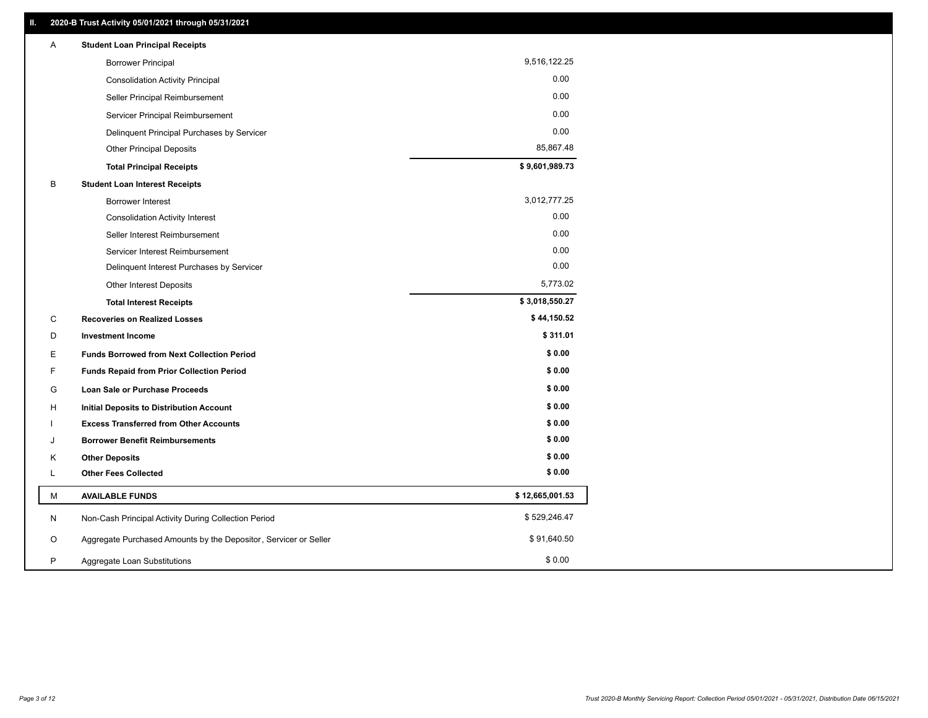| Α | <b>Student Loan Principal Receipts</b>                           |                 |
|---|------------------------------------------------------------------|-----------------|
|   | <b>Borrower Principal</b>                                        | 9,516,122.25    |
|   | <b>Consolidation Activity Principal</b>                          | 0.00            |
|   | Seller Principal Reimbursement                                   | 0.00            |
|   | Servicer Principal Reimbursement                                 | 0.00            |
|   | Delinquent Principal Purchases by Servicer                       | 0.00            |
|   | <b>Other Principal Deposits</b>                                  | 85,867.48       |
|   | <b>Total Principal Receipts</b>                                  | \$9,601,989.73  |
| B | <b>Student Loan Interest Receipts</b>                            |                 |
|   | <b>Borrower Interest</b>                                         | 3,012,777.25    |
|   | <b>Consolidation Activity Interest</b>                           | 0.00            |
|   | Seller Interest Reimbursement                                    | 0.00            |
|   | Servicer Interest Reimbursement                                  | 0.00            |
|   | Delinquent Interest Purchases by Servicer                        | 0.00            |
|   | <b>Other Interest Deposits</b>                                   | 5,773.02        |
|   | <b>Total Interest Receipts</b>                                   | \$3,018,550.27  |
| С | <b>Recoveries on Realized Losses</b>                             | \$44,150.52     |
| D | <b>Investment Income</b>                                         | \$311.01        |
| Е | <b>Funds Borrowed from Next Collection Period</b>                | \$0.00          |
| F | <b>Funds Repaid from Prior Collection Period</b>                 | \$0.00          |
| G | Loan Sale or Purchase Proceeds                                   | \$0.00          |
| H | <b>Initial Deposits to Distribution Account</b>                  | \$0.00          |
|   | <b>Excess Transferred from Other Accounts</b>                    | \$0.00          |
| J | <b>Borrower Benefit Reimbursements</b>                           | \$0.00          |
| Κ | <b>Other Deposits</b>                                            | \$0.00          |
| Г | <b>Other Fees Collected</b>                                      | \$0.00          |
| М | <b>AVAILABLE FUNDS</b>                                           | \$12,665,001.53 |
| N | Non-Cash Principal Activity During Collection Period             | \$529,246.47    |
| O | Aggregate Purchased Amounts by the Depositor, Servicer or Seller | \$91,640.50     |
| P | Aggregate Loan Substitutions                                     | \$0.00          |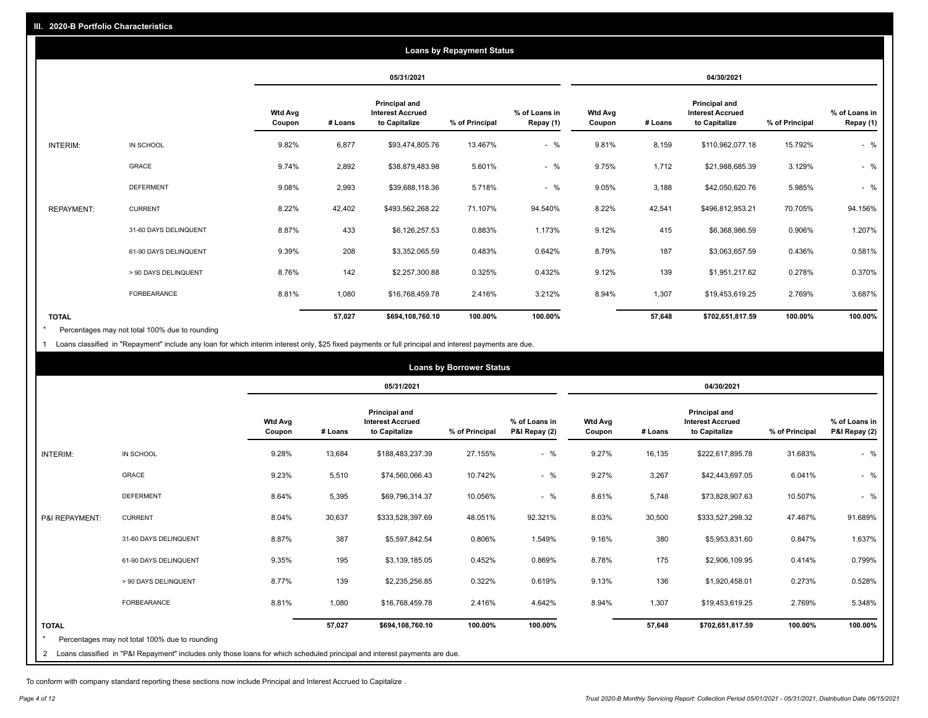|                   |                       |                          |         |                                                           | <b>Loans by Repayment Status</b> |                            |                          |         |                                                           |                |                            |
|-------------------|-----------------------|--------------------------|---------|-----------------------------------------------------------|----------------------------------|----------------------------|--------------------------|---------|-----------------------------------------------------------|----------------|----------------------------|
|                   |                       |                          |         | 05/31/2021                                                |                                  |                            |                          |         | 04/30/2021                                                |                |                            |
|                   |                       | <b>Wtd Avg</b><br>Coupon | # Loans | Principal and<br><b>Interest Accrued</b><br>to Capitalize | % of Principal                   | % of Loans in<br>Repay (1) | <b>Wtd Avg</b><br>Coupon | # Loans | Principal and<br><b>Interest Accrued</b><br>to Capitalize | % of Principal | % of Loans in<br>Repay (1) |
| INTERIM:          | IN SCHOOL             | 9.82%                    | 6,877   | \$93,474,805.76                                           | 13.467%                          | $-$ %                      | 9.81%                    | 8,159   | \$110,962,077.18                                          | 15.792%        | $-$ %                      |
|                   | GRACE                 | 9.74%                    | 2,892   | \$38,879,483.98                                           | 5.601%                           | $-$ %                      | 9.75%                    | 1,712   | \$21,988,685.39                                           | 3.129%         | $-$ %                      |
|                   | <b>DEFERMENT</b>      | 9.08%                    | 2,993   | \$39,688,118.36                                           | 5.718%                           | $-$ %                      | 9.05%                    | 3,188   | \$42,050,620.76                                           | 5.985%         | $-$ %                      |
| <b>REPAYMENT:</b> | <b>CURRENT</b>        | 8.22%                    | 42,402  | \$493,562,268.22                                          | 71.107%                          | 94.540%                    | 8.22%                    | 42,541  | \$496,812,953.21                                          | 70.705%        | 94.156%                    |
|                   | 31-60 DAYS DELINQUENT | 8.87%                    | 433     | \$6,126,257.53                                            | 0.883%                           | 1.173%                     | 9.12%                    | 415     | \$6,368,986.59                                            | 0.906%         | 1.207%                     |
|                   | 61-90 DAYS DELINQUENT | 9.39%                    | 208     | \$3,352,065.59                                            | 0.483%                           | 0.642%                     | 8.79%                    | 187     | \$3,063,657.59                                            | 0.436%         | 0.581%                     |
|                   | > 90 DAYS DELINQUENT  | 8.76%                    | 142     | \$2,257,300.88                                            | 0.325%                           | 0.432%                     | 9.12%                    | 139     | \$1,951,217.62                                            | 0.278%         | 0.370%                     |
|                   | <b>FORBEARANCE</b>    | 8.81%                    | 1,080   | \$16,768,459.78                                           | 2.416%                           | 3.212%                     | 8.94%                    | 1,307   | \$19,453,619.25                                           | 2.769%         | 3.687%                     |
| <b>TOTAL</b>      |                       |                          | 57,027  | \$694,108,760.10                                          | 100.00%                          | 100.00%                    |                          | 57,648  | \$702,651,817.59                                          | 100.00%        | 100.00%                    |

Percentages may not total 100% due to rounding \*

1 Loans classified in "Repayment" include any loan for which interim interest only, \$25 fixed payments or full principal and interest payments are due.

|                |                                                                                                                              |                          |         |                                                           | <b>Loans by Borrower Status</b> |                                |                          |         |                                                                  |                |                                |
|----------------|------------------------------------------------------------------------------------------------------------------------------|--------------------------|---------|-----------------------------------------------------------|---------------------------------|--------------------------------|--------------------------|---------|------------------------------------------------------------------|----------------|--------------------------------|
|                |                                                                                                                              |                          |         | 05/31/2021                                                |                                 |                                |                          |         | 04/30/2021                                                       |                |                                |
|                |                                                                                                                              | <b>Wtd Avg</b><br>Coupon | # Loans | Principal and<br><b>Interest Accrued</b><br>to Capitalize | % of Principal                  | % of Loans in<br>P&I Repay (2) | <b>Wtd Avg</b><br>Coupon | # Loans | <b>Principal and</b><br><b>Interest Accrued</b><br>to Capitalize | % of Principal | % of Loans in<br>P&I Repay (2) |
| INTERIM:       | IN SCHOOL                                                                                                                    | 9.28%                    | 13,684  | \$188,483,237.39                                          | 27.155%                         | $-$ %                          | 9.27%                    | 16,135  | \$222,617,895.78                                                 | 31.683%        | $-$ %                          |
|                | <b>GRACE</b>                                                                                                                 | 9.23%                    | 5,510   | \$74,560,066.43                                           | 10.742%                         | $-$ %                          | 9.27%                    | 3,267   | \$42,443,697.05                                                  | 6.041%         | $-$ %                          |
|                | <b>DEFERMENT</b>                                                                                                             | 8.64%                    | 5,395   | \$69,796,314.37                                           | 10.056%                         | $-$ %                          | 8.61%                    | 5,748   | \$73,828,907.63                                                  | 10.507%        | $-$ %                          |
| P&I REPAYMENT: | <b>CURRENT</b>                                                                                                               | 8.04%                    | 30,637  | \$333,528,397.69                                          | 48.051%                         | 92.321%                        | 8.03%                    | 30,500  | \$333,527,298.32                                                 | 47.467%        | 91.689%                        |
|                | 31-60 DAYS DELINQUENT                                                                                                        | 8.87%                    | 387     | \$5,597,842.54                                            | 0.806%                          | 1.549%                         | 9.16%                    | 380     | \$5,953,831.60                                                   | 0.847%         | 1.637%                         |
|                | 61-90 DAYS DELINQUENT                                                                                                        | 9.35%                    | 195     | \$3,139,185.05                                            | 0.452%                          | 0.869%                         | 8.78%                    | 175     | \$2,906,109.95                                                   | 0.414%         | 0.799%                         |
|                | > 90 DAYS DELINQUENT                                                                                                         | 8.77%                    | 139     | \$2,235,256.85                                            | 0.322%                          | 0.619%                         | 9.13%                    | 136     | \$1,920,458.01                                                   | 0.273%         | 0.528%                         |
|                | <b>FORBEARANCE</b>                                                                                                           | 8.81%                    | 1,080   | \$16,768,459.78                                           | 2.416%                          | 4.642%                         | 8.94%                    | 1,307   | \$19,453,619.25                                                  | 2.769%         | 5.348%                         |
| <b>TOTAL</b>   |                                                                                                                              |                          | 57,027  | \$694,108,760.10                                          | 100.00%                         | 100.00%                        |                          | 57,648  | \$702,651,817.59                                                 | 100.00%        | 100.00%                        |
| $\star$        | Percentages may not total 100% due to rounding                                                                               |                          |         |                                                           |                                 |                                |                          |         |                                                                  |                |                                |
|                | 2 Loans classified in "P&I Repayment" includes only those loans for which scheduled principal and interest payments are due. |                          |         |                                                           |                                 |                                |                          |         |                                                                  |                |                                |

To conform with company standard reporting these sections now include Principal and Interest Accrued to Capitalize .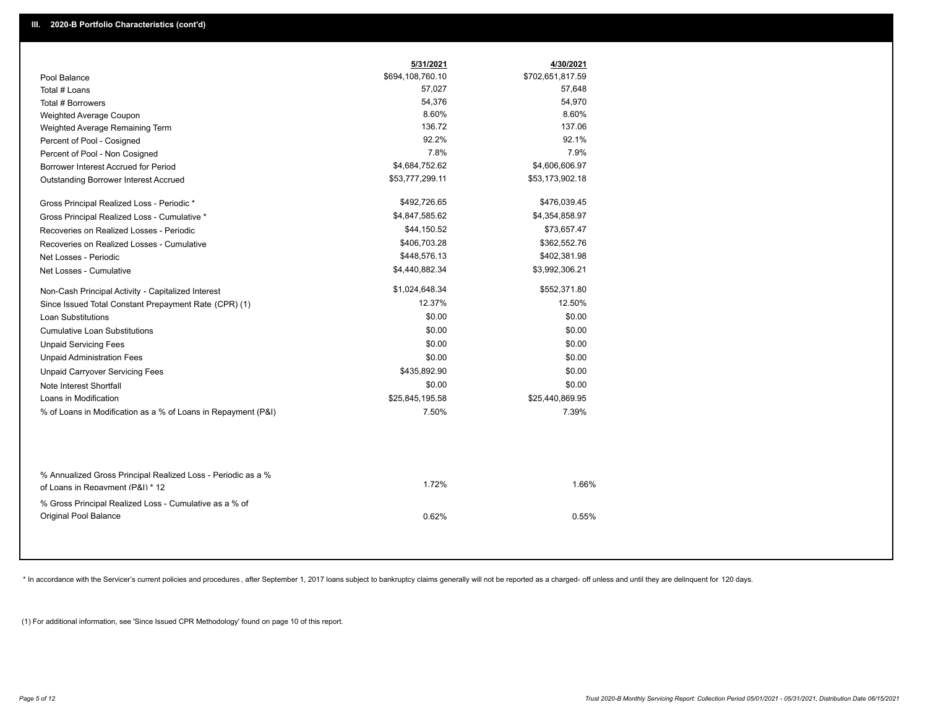|                                                                                        | 5/31/2021        | 4/30/2021        |
|----------------------------------------------------------------------------------------|------------------|------------------|
| Pool Balance                                                                           | \$694,108,760.10 | \$702,651,817.59 |
| Total # Loans                                                                          | 57,027           | 57,648           |
| Total # Borrowers                                                                      | 54,376           | 54,970           |
| Weighted Average Coupon                                                                | 8.60%            | 8.60%            |
| Weighted Average Remaining Term                                                        | 136.72           | 137.06           |
| Percent of Pool - Cosigned                                                             | 92.2%            | 92.1%            |
| Percent of Pool - Non Cosigned                                                         | 7.8%             | 7.9%             |
| Borrower Interest Accrued for Period                                                   | \$4,684,752.62   | \$4,606,606.97   |
| <b>Outstanding Borrower Interest Accrued</b>                                           | \$53,777,299.11  | \$53,173,902.18  |
| Gross Principal Realized Loss - Periodic *                                             | \$492,726.65     | \$476,039.45     |
| Gross Principal Realized Loss - Cumulative *                                           | \$4,847,585.62   | \$4,354,858.97   |
| Recoveries on Realized Losses - Periodic                                               | \$44,150.52      | \$73,657.47      |
| Recoveries on Realized Losses - Cumulative                                             | \$406,703.28     | \$362,552.76     |
| Net Losses - Periodic                                                                  | \$448,576.13     | \$402,381.98     |
| Net Losses - Cumulative                                                                | \$4,440,882.34   | \$3,992,306.21   |
| Non-Cash Principal Activity - Capitalized Interest                                     | \$1,024,648.34   | \$552,371.80     |
| Since Issued Total Constant Prepayment Rate (CPR) (1)                                  | 12.37%           | 12.50%           |
| <b>Loan Substitutions</b>                                                              | \$0.00           | \$0.00           |
| <b>Cumulative Loan Substitutions</b>                                                   | \$0.00           | \$0.00           |
| <b>Unpaid Servicing Fees</b>                                                           | \$0.00           | \$0.00           |
| <b>Unpaid Administration Fees</b>                                                      | \$0.00           | \$0.00           |
| <b>Unpaid Carryover Servicing Fees</b>                                                 | \$435,892.90     | \$0.00           |
| Note Interest Shortfall                                                                | \$0.00           | \$0.00           |
| Loans in Modification                                                                  | \$25,845,195.58  | \$25,440,869.95  |
| % of Loans in Modification as a % of Loans in Repayment (P&I)                          | 7.50%            | 7.39%            |
| % Annualized Gross Principal Realized Loss - Periodic as a %                           | 1.72%            | 1.66%            |
| of Loans in Repayment (P&I) * 12                                                       |                  |                  |
| % Gross Principal Realized Loss - Cumulative as a % of<br><b>Original Pool Balance</b> | 0.62%            | 0.55%            |

\* In accordance with the Servicer's current policies and procedures, after September 1, 2017 loans subject to bankruptcy claims generally will not be reported as a charged- off unless and until they are delinquent for 120

(1) For additional information, see 'Since Issued CPR Methodology' found on page 10 of this report.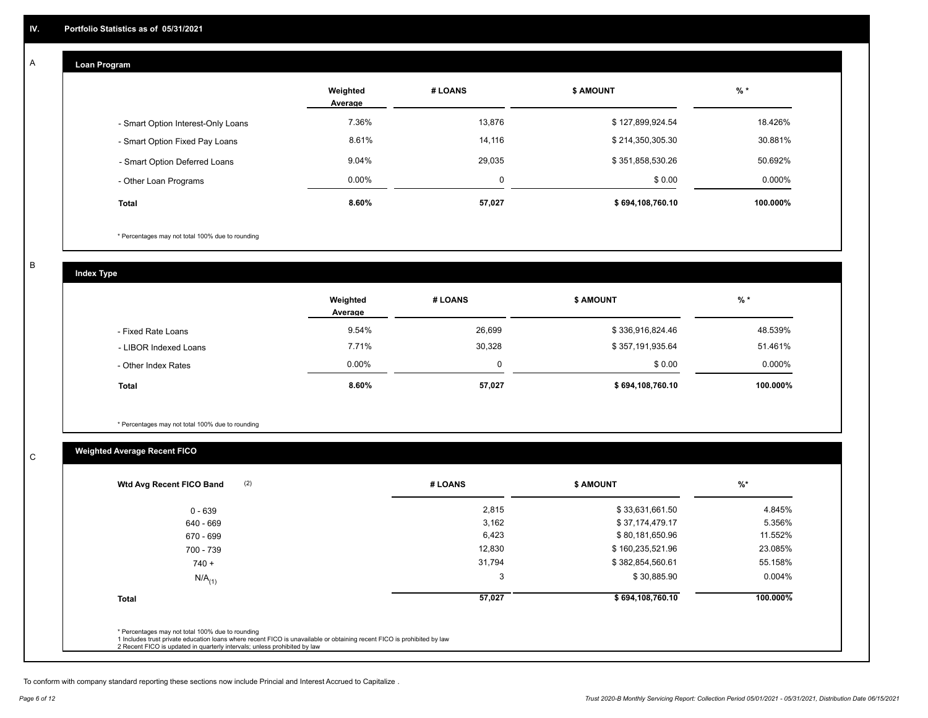## **Loan Program**

A

|                                    | Weighted<br>Average | # LOANS  | <b>\$ AMOUNT</b> | $%$ *    |
|------------------------------------|---------------------|----------|------------------|----------|
| - Smart Option Interest-Only Loans | 7.36%               | 13,876   | \$127,899,924.54 | 18.426%  |
| - Smart Option Fixed Pay Loans     | 8.61%               | 14,116   | \$214,350,305.30 | 30.881%  |
| - Smart Option Deferred Loans      | 9.04%               | 29,035   | \$351,858,530.26 | 50.692%  |
| - Other Loan Programs              | $0.00\%$            | $\Omega$ | \$0.00           | 0.000%   |
| <b>Total</b>                       | 8.60%               | 57,027   | \$694,108,760.10 | 100.000% |

\* Percentages may not total 100% due to rounding

B

C

**Index Type**

|                       | Weighted<br>Average | # LOANS  | <b>\$ AMOUNT</b> | $%$ *     |
|-----------------------|---------------------|----------|------------------|-----------|
| - Fixed Rate Loans    | 9.54%               | 26,699   | \$336,916,824.46 | 48.539%   |
| - LIBOR Indexed Loans | 7.71%               | 30,328   | \$357,191,935.64 | 51.461%   |
| - Other Index Rates   | $0.00\%$            | $\Omega$ | \$0.00           | $0.000\%$ |
| <b>Total</b>          | 8.60%               | 57,027   | \$694,108,760.10 | 100.000%  |

\* Percentages may not total 100% due to rounding

# **Weighted Average Recent FICO**

| $0 - 639$            | 2,815  | \$33,631,661.50  | 4.845%    |
|----------------------|--------|------------------|-----------|
| 640 - 669            | 3,162  | \$37,174,479.17  | 5.356%    |
| 670 - 699            | 6,423  | \$80,181,650.96  | 11.552%   |
| 700 - 739            | 12,830 | \$160,235,521.96 | 23.085%   |
| $740 +$              | 31,794 | \$382,854,560.61 | 55.158%   |
| $N/A$ <sub>(1)</sub> | 3      | \$30,885.90      | $0.004\%$ |
| <b>Total</b>         | 57,027 | \$694,108,760.10 | 100.000%  |

To conform with company standard reporting these sections now include Princial and Interest Accrued to Capitalize .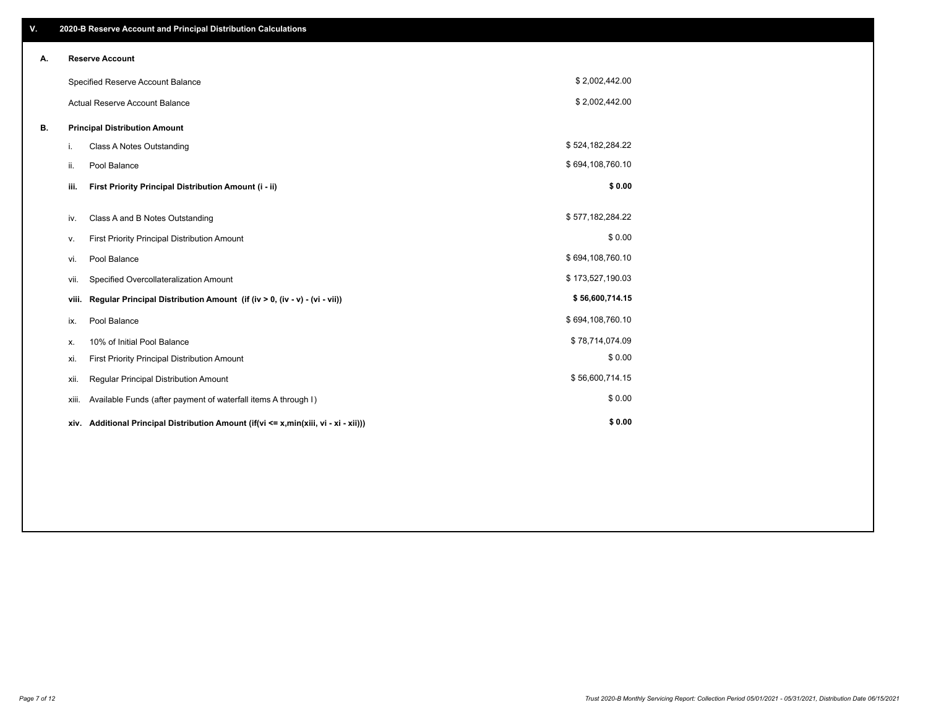| V. |                                       | 2020-B Reserve Account and Principal Distribution Calculations                       |                  |  |
|----|---------------------------------------|--------------------------------------------------------------------------------------|------------------|--|
| А. |                                       | <b>Reserve Account</b>                                                               |                  |  |
|    |                                       | Specified Reserve Account Balance                                                    | \$2,002,442.00   |  |
|    | <b>Actual Reserve Account Balance</b> |                                                                                      | \$2,002,442.00   |  |
| В. |                                       | <b>Principal Distribution Amount</b>                                                 |                  |  |
|    | i.                                    | Class A Notes Outstanding                                                            | \$524,182,284.22 |  |
|    | ii.                                   | Pool Balance                                                                         | \$694,108,760.10 |  |
|    | iii.                                  | First Priority Principal Distribution Amount (i - ii)                                | \$0.00           |  |
|    | iv.                                   | Class A and B Notes Outstanding                                                      | \$577,182,284.22 |  |
|    | ۷.                                    | First Priority Principal Distribution Amount                                         | \$0.00           |  |
|    | vi.                                   | Pool Balance                                                                         | \$694,108,760.10 |  |
|    | Vii.                                  | Specified Overcollateralization Amount                                               | \$173,527,190.03 |  |
|    | viii.                                 | Regular Principal Distribution Amount (if (iv > 0, (iv - v) - (vi - vii))            | \$56,600,714.15  |  |
|    | ix.                                   | Pool Balance                                                                         | \$694,108,760.10 |  |
|    | х.                                    | 10% of Initial Pool Balance                                                          | \$78,714,074.09  |  |
|    | xi.                                   | First Priority Principal Distribution Amount                                         | \$0.00           |  |
|    | xii.                                  | Regular Principal Distribution Amount                                                | \$56,600,714.15  |  |
|    | xiii.                                 | Available Funds (after payment of waterfall items A through I)                       | \$0.00           |  |
|    |                                       | xiv. Additional Principal Distribution Amount (if(vi <= x,min(xiii, vi - xi - xii))) | \$0.00           |  |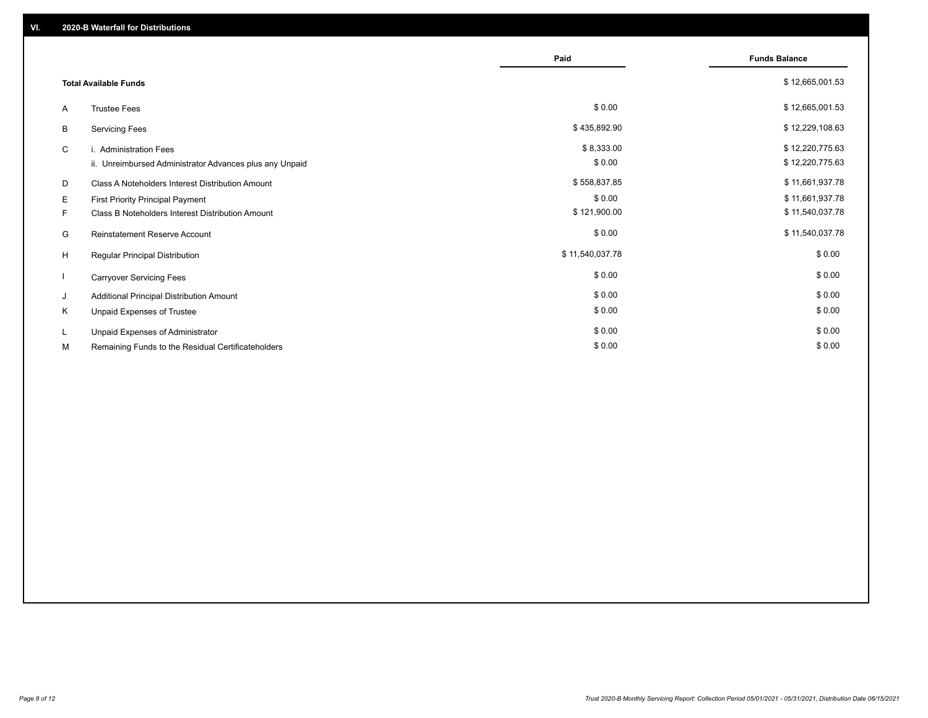|                              |                                                         | Paid            | <b>Funds Balance</b> |
|------------------------------|---------------------------------------------------------|-----------------|----------------------|
| <b>Total Available Funds</b> |                                                         |                 | \$12,665,001.53      |
| A                            | <b>Trustee Fees</b>                                     | \$0.00          | \$12,665,001.53      |
| B                            | <b>Servicing Fees</b>                                   | \$435,892.90    | \$12,229,108.63      |
| C                            | i. Administration Fees                                  | \$8,333.00      | \$12,220,775.63      |
|                              | ii. Unreimbursed Administrator Advances plus any Unpaid | \$0.00          | \$12,220,775.63      |
| D                            | Class A Noteholders Interest Distribution Amount        | \$558,837.85    | \$11,661,937.78      |
| Е                            | First Priority Principal Payment                        | \$0.00          | \$11,661,937.78      |
| F.                           | Class B Noteholders Interest Distribution Amount        | \$121,900.00    | \$11,540,037.78      |
| G                            | <b>Reinstatement Reserve Account</b>                    | \$0.00          | \$11,540,037.78      |
| H                            | Regular Principal Distribution                          | \$11,540,037.78 | \$0.00               |
|                              | <b>Carryover Servicing Fees</b>                         | \$0.00          | \$0.00               |
| J                            | Additional Principal Distribution Amount                | \$0.00          | \$0.00               |
| Κ                            | Unpaid Expenses of Trustee                              | \$0.00          | \$0.00               |
| L                            | Unpaid Expenses of Administrator                        | \$0.00          | \$0.00               |
| М                            | Remaining Funds to the Residual Certificateholders      | \$0.00          | \$0.00               |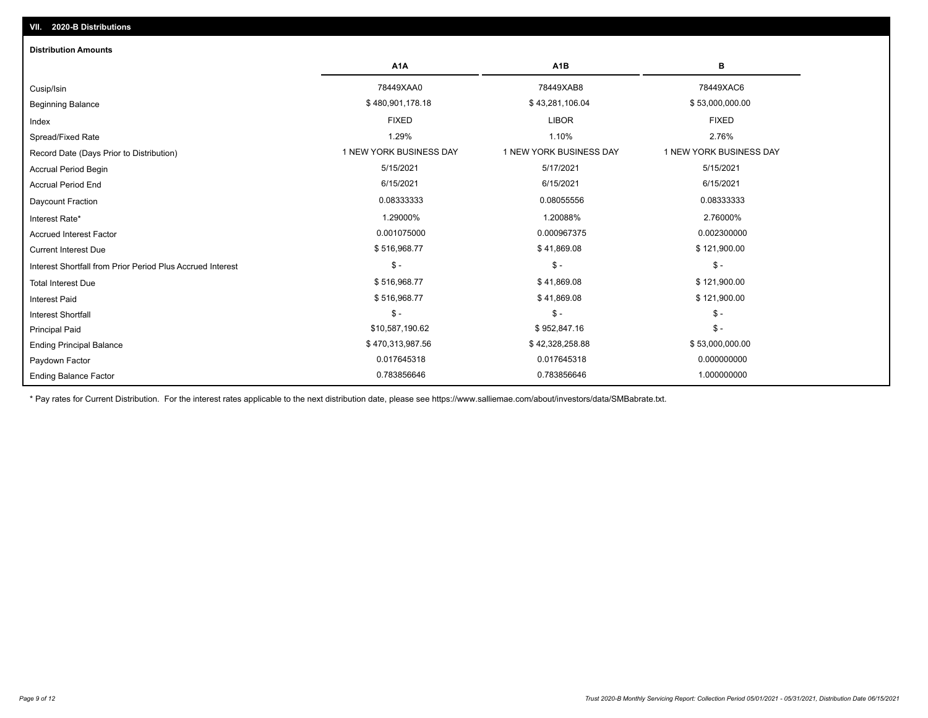| <b>Distribution Amounts</b>                                |                         |                         |                         |
|------------------------------------------------------------|-------------------------|-------------------------|-------------------------|
|                                                            | A <sub>1</sub> A        | A <sub>1</sub> B        | в                       |
| Cusip/Isin                                                 | 78449XAA0               | 78449XAB8               | 78449XAC6               |
| <b>Beginning Balance</b>                                   | \$480,901,178.18        | \$43,281,106.04         | \$53,000,000.00         |
| Index                                                      | <b>FIXED</b>            | <b>LIBOR</b>            | <b>FIXED</b>            |
| Spread/Fixed Rate                                          | 1.29%                   | 1.10%                   | 2.76%                   |
| Record Date (Days Prior to Distribution)                   | 1 NEW YORK BUSINESS DAY | 1 NEW YORK BUSINESS DAY | 1 NEW YORK BUSINESS DAY |
| <b>Accrual Period Begin</b>                                | 5/15/2021               | 5/17/2021               | 5/15/2021               |
| <b>Accrual Period End</b>                                  | 6/15/2021               | 6/15/2021               | 6/15/2021               |
| Daycount Fraction                                          | 0.08333333              | 0.08055556              | 0.08333333              |
| Interest Rate*                                             | 1.29000%                | 1.20088%                | 2.76000%                |
| <b>Accrued Interest Factor</b>                             | 0.001075000             | 0.000967375             | 0.002300000             |
| <b>Current Interest Due</b>                                | \$516,968.77            | \$41,869.08             | \$121,900.00            |
| Interest Shortfall from Prior Period Plus Accrued Interest | $\mathsf{\$}$ -         | $\mathsf{\$}$ -         | $\mathsf{\$}$ -         |
| <b>Total Interest Due</b>                                  | \$516,968.77            | \$41,869.08             | \$121,900.00            |
| <b>Interest Paid</b>                                       | \$516,968.77            | \$41,869.08             | \$121,900.00            |
| <b>Interest Shortfall</b>                                  | $\frac{1}{2}$           | $\mathsf{\$}$ -         | $$ -$                   |
| <b>Principal Paid</b>                                      | \$10,587,190.62         | \$952,847.16            | $\mathsf{\$}$ -         |
| <b>Ending Principal Balance</b>                            | \$470,313,987.56        | \$42,328,258.88         | \$53,000,000.00         |
| Paydown Factor                                             | 0.017645318             | 0.017645318             | 0.000000000             |
| <b>Ending Balance Factor</b>                               | 0.783856646             | 0.783856646             | 1.000000000             |

\* Pay rates for Current Distribution. For the interest rates applicable to the next distribution date, please see https://www.salliemae.com/about/investors/data/SMBabrate.txt.

**VII. 2020-B Distributions**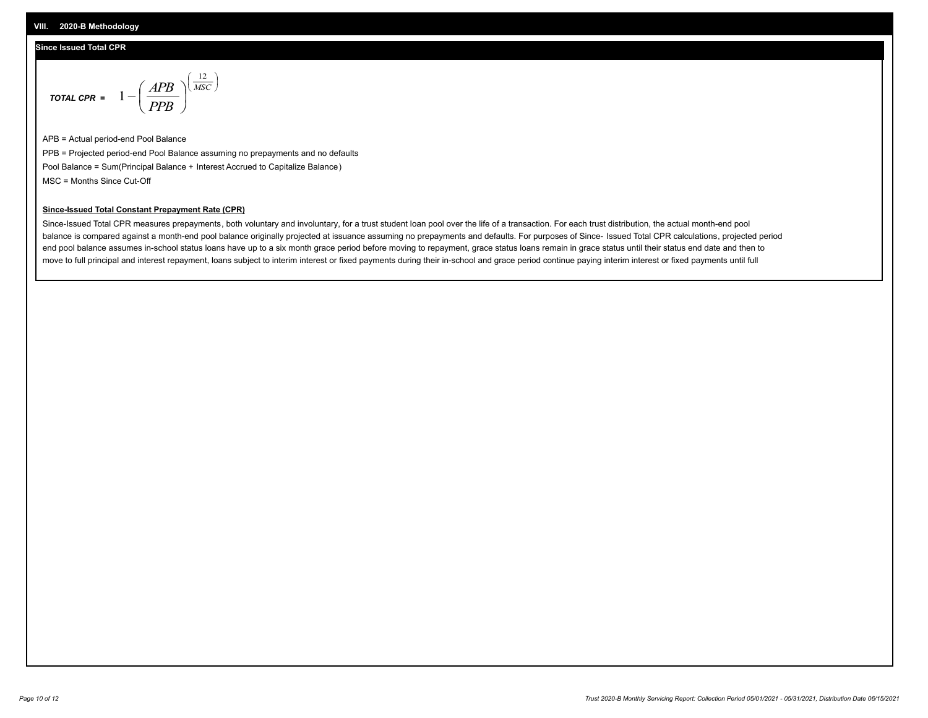#### **Since Issued Total CPR**

$$
\text{total CPR} = 1 - \left(\frac{APB}{PPB}\right)^{\left(\frac{12}{MSC}\right)}
$$

APB = Actual period-end Pool Balance PPB = Projected period-end Pool Balance assuming no prepayments and no defaults Pool Balance = Sum(Principal Balance + Interest Accrued to Capitalize Balance) MSC = Months Since Cut-Off

 $\mathsf{I}$ J λ

#### **Since-Issued Total Constant Prepayment Rate (CPR)**

Since-Issued Total CPR measures prepayments, both voluntary and involuntary, for a trust student loan pool over the life of a transaction. For each trust distribution, the actual month-end pool balance is compared against a month-end pool balance originally projected at issuance assuming no prepayments and defaults. For purposes of Since- Issued Total CPR calculations, projected period end pool balance assumes in-school status loans have up to a six month grace period before moving to repayment, grace status loans remain in grace status until their status end date and then to move to full principal and interest repayment, loans subject to interim interest or fixed payments during their in-school and grace period continue paying interim interest or fixed payments until full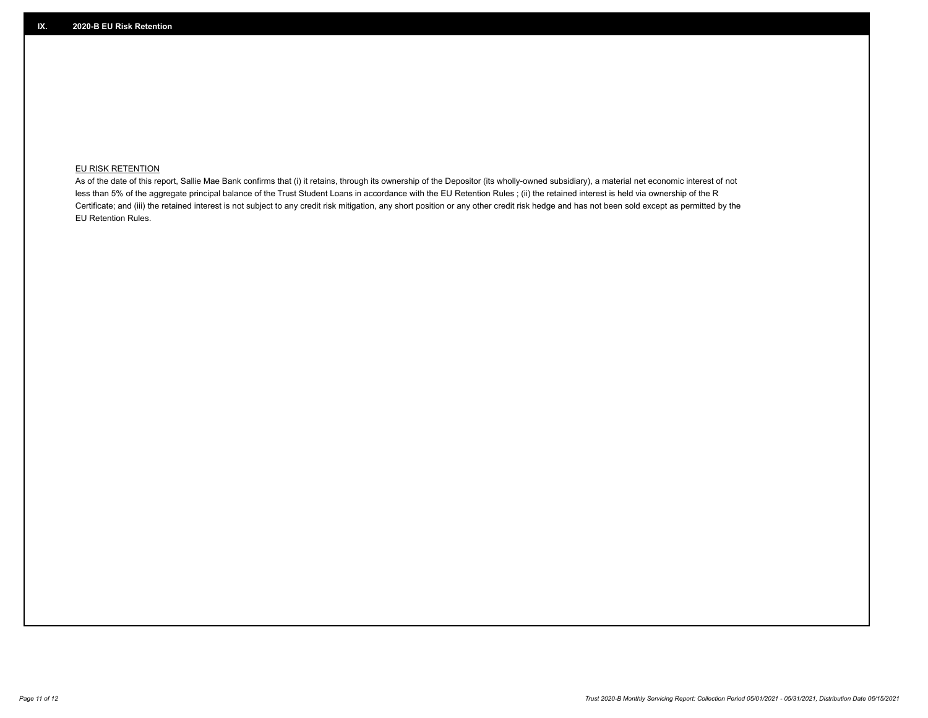### **EU RISK RETENTION**

As of the date of this report, Sallie Mae Bank confirms that (i) it retains, through its ownership of the Depositor (its wholly-owned subsidiary), a material net economic interest of not less than 5% of the aggregate principal balance of the Trust Student Loans in accordance with the EU Retention Rules ; (ii) the retained interest is held via ownership of the R Certificate; and (iii) the retained interest is not subject to any credit risk mitigation, any short position or any other credit risk hedge and has not been sold except as permitted by the EU Retention Rules.